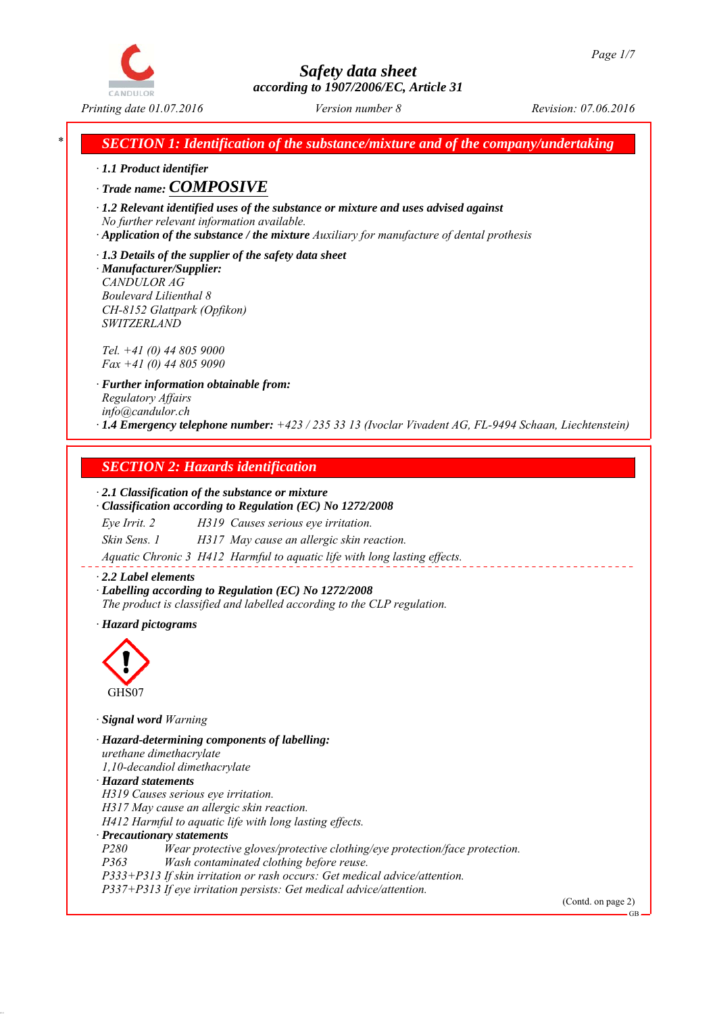*Printing date 01.07.2016 Revision: 07.06.2016 Version number 8*

*\* SECTION 1: Identification of the substance/mixture and of the company/undertaking*

*∙ 1.1 Product identifier*

# *∙ Trade name: COMPOSIVE*

*∙ 1.2 Relevant identified uses of the substance or mixture and uses advised against No further relevant information available.*

*∙ Application of the substance / the mixture Auxiliary for manufacture of dental prothesis*

*∙ 1.3 Details of the supplier of the safety data sheet ∙ Manufacturer/Supplier: CANDULOR AG Boulevard Lilienthal 8 CH-8152 Glattpark (Opfikon) SWITZERLAND*

*Tel. +41 (0) 44 805 9000 Fax +41 (0) 44 805 9090*

*∙ Further information obtainable from: Regulatory Affairs info@candulor.ch ∙ 1.4 Emergency telephone number: +423 / 235 33 13 (Ivoclar Vivadent AG, FL-9494 Schaan, Liechtenstein)*

# *SECTION 2: Hazards identification*

## *∙ 2.1 Classification of the substance or mixture*

*∙ Classification according to Regulation (EC) No 1272/2008 Eye Irrit. 2 H319 Causes serious eye irritation. Skin Sens. 1 H317 May cause an allergic skin reaction.*

*Aquatic Chronic 3 H412 Harmful to aquatic life with long lasting effects.*

#### *∙ 2.2 Label elements*

*∙ Labelling according to Regulation (EC) No 1272/2008 The product is classified and labelled according to the CLP regulation.*

*∙ Hazard pictograms*



*∙ Signal word Warning*

*∙ Hazard-determining components of labelling: urethane dimethacrylate 1,10-decandiol dimethacrylate ∙ Hazard statements H319 Causes serious eye irritation. H317 May cause an allergic skin reaction. H412 Harmful to aquatic life with long lasting effects. ∙ Precautionary statements P280 Wear protective gloves/protective clothing/eye protection/face protection. P363 Wash contaminated clothing before reuse.*

*P333+P313 If skin irritation or rash occurs: Get medical advice/attention.*

*P337+P313 If eye irritation persists: Get medical advice/attention.*

(Contd. on page 2)

GB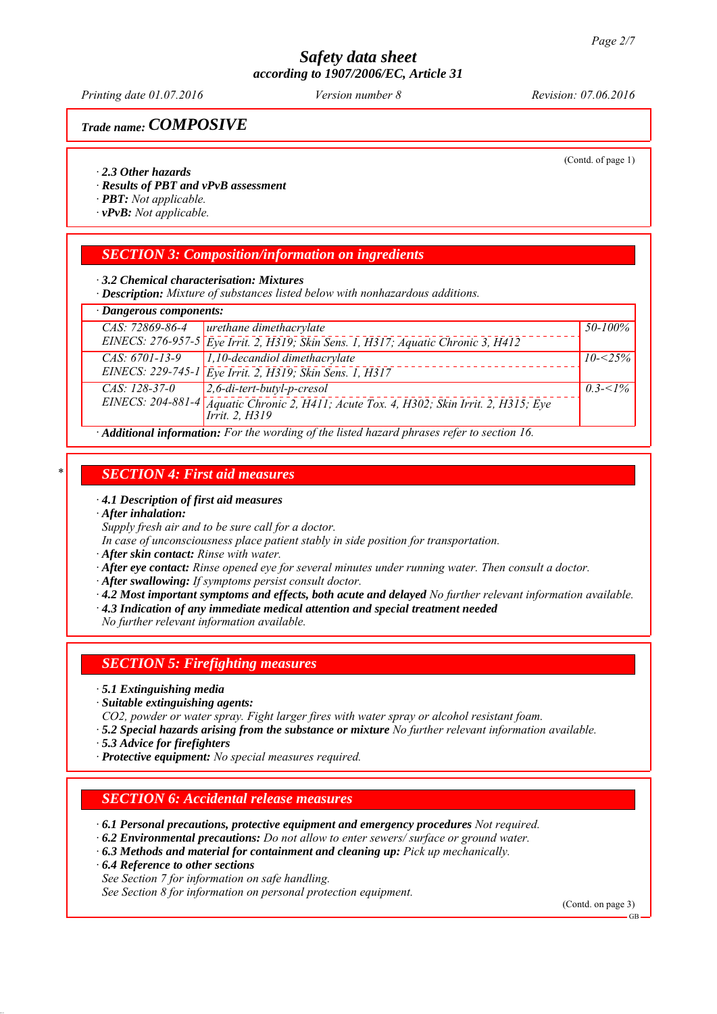*Printing date 01.07.2016 Revision: 07.06.2016 Version number 8*

# *Trade name: COMPOSIVE*

(Contd. of page 1)

#### *∙ 2.3 Other hazards*

- *∙ Results of PBT and vPvB assessment*
- *∙ PBT: Not applicable.*
- *∙ vPvB: Not applicable.*

#### *SECTION 3: Composition/information on ingredients*

*∙ 3.2 Chemical characterisation: Mixtures*

*∙ Description: Mixture of substances listed below with nonhazardous additions.*

| $\cdot$ Dangerous components:                                                            |                                                                                         |              |
|------------------------------------------------------------------------------------------|-----------------------------------------------------------------------------------------|--------------|
| CAS: 72869-86-4                                                                          | urethane dimethacrylate                                                                 | 50-100%      |
|                                                                                          | EINECS: 276-957-5 Eye Irrit. 2, H319; Skin Sens. 1, H317; Aquatic Chronic 3, H412       |              |
| $CAS: 6701-13-9$                                                                         | 1,10-decandiol dimethacrylate                                                           | $10 - 25\%$  |
|                                                                                          | EINECS: 229-745-1 Eye Irrit. 2, H319; Skin Sens. 1, H317                                |              |
| $CAS: 128-37-0$                                                                          | $2, 6$ -di-tert-butyl-p-cresol                                                          | $0.3 - 5/26$ |
|                                                                                          | EINECS: 204-881-4 Aquatic Chronic 2, H411; Acute Tox. 4, H302; Skin Irrit. 2, H315; Eye |              |
|                                                                                          | <i>Irrit. 2. H319</i>                                                                   |              |
| Additional information: For the wording of the listed hazard phrases refer to section 16 |                                                                                         |              |

*∙ Additional information: For the wording of the listed hazard phrases refer to section 16.*

#### *\* SECTION 4: First aid measures*

*∙ 4.1 Description of first aid measures*

*∙ After inhalation:*

*Supply fresh air and to be sure call for a doctor.*

*In case of unconsciousness place patient stably in side position for transportation.*

*∙ After skin contact: Rinse with water.*

- *∙ After eye contact: Rinse opened eye for several minutes under running water. Then consult a doctor.*
- *∙ After swallowing: If symptoms persist consult doctor.*
- *∙ 4.2 Most important symptoms and effects, both acute and delayed No further relevant information available.*
- *∙ 4.3 Indication of any immediate medical attention and special treatment needed*

*No further relevant information available.*

#### *SECTION 5: Firefighting measures*

- *∙ 5.1 Extinguishing media*
- *∙ Suitable extinguishing agents:*

*CO2, powder or water spray. Fight larger fires with water spray or alcohol resistant foam.*

- *∙ 5.2 Special hazards arising from the substance or mixture No further relevant information available.*
- *∙ 5.3 Advice for firefighters*
- *∙ Protective equipment: No special measures required.*

# *SECTION 6: Accidental release measures*

- *∙ 6.1 Personal precautions, protective equipment and emergency procedures Not required.*
- *∙ 6.2 Environmental precautions: Do not allow to enter sewers/ surface or ground water.*
- *∙ 6.3 Methods and material for containment and cleaning up: Pick up mechanically.*
- *∙ 6.4 Reference to other sections*

*See Section 7 for information on safe handling.*

*See Section 8 for information on personal protection equipment.*

(Contd. on page 3)

GB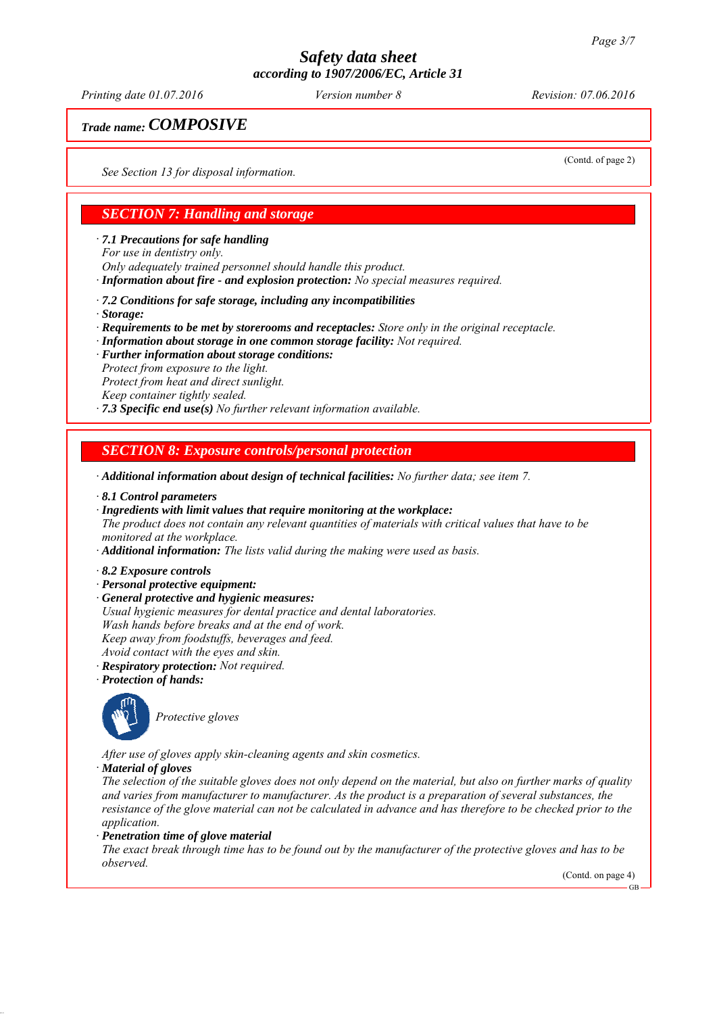*Printing date 01.07.2016 Revision: 07.06.2016 Version number 8*

(Contd. of page 2)

# *Trade name: COMPOSIVE*

*See Section 13 for disposal information.*

# *SECTION 7: Handling and storage*

*∙ 7.1 Precautions for safe handling*

*For use in dentistry only.*

*Only adequately trained personnel should handle this product.*

*∙ Information about fire - and explosion protection: No special measures required.*

*∙ 7.2 Conditions for safe storage, including any incompatibilities*

*∙ Storage:*

*∙ Requirements to be met by storerooms and receptacles: Store only in the original receptacle.*

- *∙ Information about storage in one common storage facility: Not required.*
- *∙ Further information about storage conditions:*

*Protect from exposure to the light.*

*Protect from heat and direct sunlight.*

*Keep container tightly sealed.*

*∙ 7.3 Specific end use(s) No further relevant information available.*

# *SECTION 8: Exposure controls/personal protection*

*∙ Additional information about design of technical facilities: No further data; see item 7.*

- *∙ 8.1 Control parameters*
- *∙ Ingredients with limit values that require monitoring at the workplace:*

*The product does not contain any relevant quantities of materials with critical values that have to be monitored at the workplace.*

*∙ Additional information: The lists valid during the making were used as basis.*

- *∙ 8.2 Exposure controls*
- *∙ Personal protective equipment:*
- *∙ General protective and hygienic measures: Usual hygienic measures for dental practice and dental laboratories. Wash hands before breaks and at the end of work. Keep away from foodstuffs, beverages and feed. Avoid contact with the eyes and skin. ∙ Respiratory protection: Not required.*
- *∙ Protection of hands:*
- 

*Protective gloves*

*After use of gloves apply skin-cleaning agents and skin cosmetics.*

*∙ Material of gloves*

*The selection of the suitable gloves does not only depend on the material, but also on further marks of quality and varies from manufacturer to manufacturer. As the product is a preparation of several substances, the resistance of the glove material can not be calculated in advance and has therefore to be checked prior to the application.*

*∙ Penetration time of glove material*

*The exact break through time has to be found out by the manufacturer of the protective gloves and has to be observed.*

(Contd. on page 4)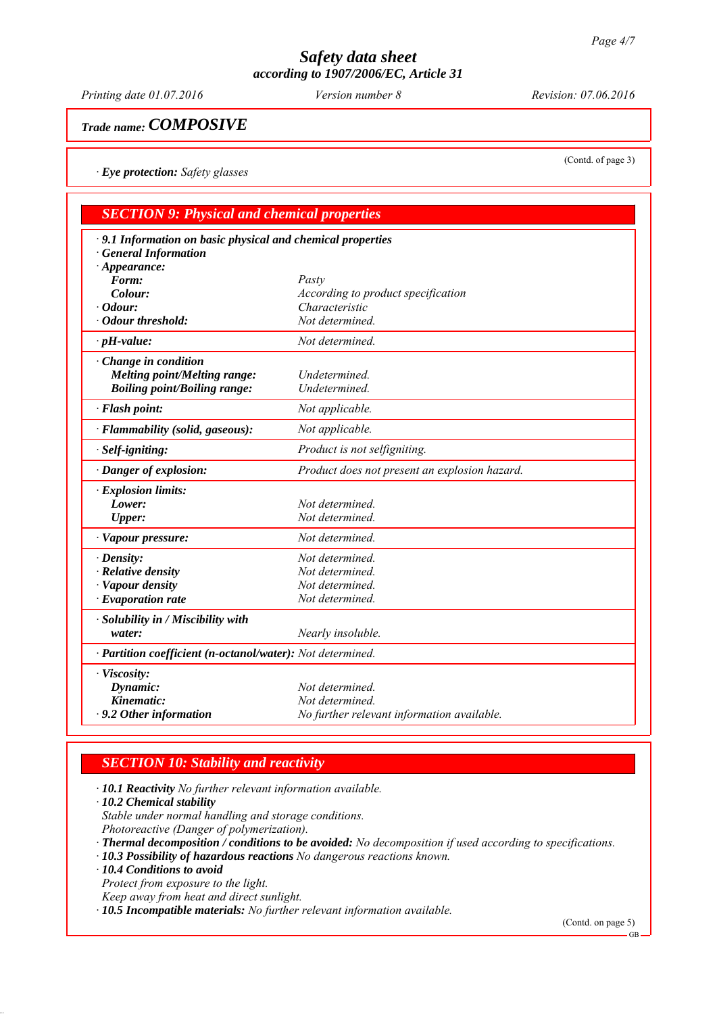*Printing date 01.07.2016 Revision: 07.06.2016 Version number 8*

*Trade name: COMPOSIVE*

*∙ Eye protection: Safety glasses*

| <b>SECTION 9: Physical and chemical properties</b>          |                                               |  |  |  |
|-------------------------------------------------------------|-----------------------------------------------|--|--|--|
| · 9.1 Information on basic physical and chemical properties |                                               |  |  |  |
| <b>General Information</b>                                  |                                               |  |  |  |
| $\cdot$ Appearance:                                         |                                               |  |  |  |
| Form:                                                       | Pasty                                         |  |  |  |
| Colour:                                                     | According to product specification            |  |  |  |
| $\cdot$ Odour:                                              | Characteristic                                |  |  |  |
| · Odour threshold:                                          | Not determined.                               |  |  |  |
| $\cdot$ pH-value:                                           | Not determined.                               |  |  |  |
| · Change in condition                                       |                                               |  |  |  |
| <b>Melting point/Melting range:</b>                         | Undetermined.                                 |  |  |  |
| <b>Boiling point/Boiling range:</b>                         | Undetermined.                                 |  |  |  |
| · Flash point:                                              | Not applicable.                               |  |  |  |
| · Flammability (solid, gaseous):                            | Not applicable.                               |  |  |  |
| $\cdot$ Self-igniting:                                      | Product is not selfigniting.                  |  |  |  |
| · Danger of explosion:                                      | Product does not present an explosion hazard. |  |  |  |
| · Explosion limits:                                         |                                               |  |  |  |
| Lower:                                                      | Not determined.                               |  |  |  |
| <b>Upper:</b>                                               | Not determined.                               |  |  |  |
| · Vapour pressure:                                          | Not determined.                               |  |  |  |
| $\cdot$ Density:                                            | Not determined.                               |  |  |  |
| $\cdot$ Relative density                                    | Not determined.                               |  |  |  |
| · Vapour density                                            | Not determined.                               |  |  |  |
| $\cdot$ Evaporation rate                                    | Not determined.                               |  |  |  |
| $\cdot$ Solubility in / Miscibility with                    |                                               |  |  |  |
| water:                                                      | Nearly insoluble.                             |  |  |  |
| · Partition coefficient (n-octanol/water): Not determined.  |                                               |  |  |  |
| · Viscosity:                                                |                                               |  |  |  |
| Dynamic:                                                    | Not determined.                               |  |  |  |
| Kinematic:                                                  | Not determined.                               |  |  |  |
| $\cdot$ 9.2 Other information                               | No further relevant information available.    |  |  |  |

# *SECTION 10: Stability and reactivity*

*∙ 10.1 Reactivity No further relevant information available.*

*∙ 10.2 Chemical stability*

*Stable under normal handling and storage conditions.*

- *Photoreactive (Danger of polymerization).*
- *∙ Thermal decomposition / conditions to be avoided: No decomposition if used according to specifications.*
- *∙ 10.3 Possibility of hazardous reactions No dangerous reactions known.*

*∙ 10.4 Conditions to avoid*

*Protect from exposure to the light.*

*Keep away from heat and direct sunlight.*

*∙ 10.5 Incompatible materials: No further relevant information available.*

(Contd. on page 5)

(Contd. of page 3)

 $GB$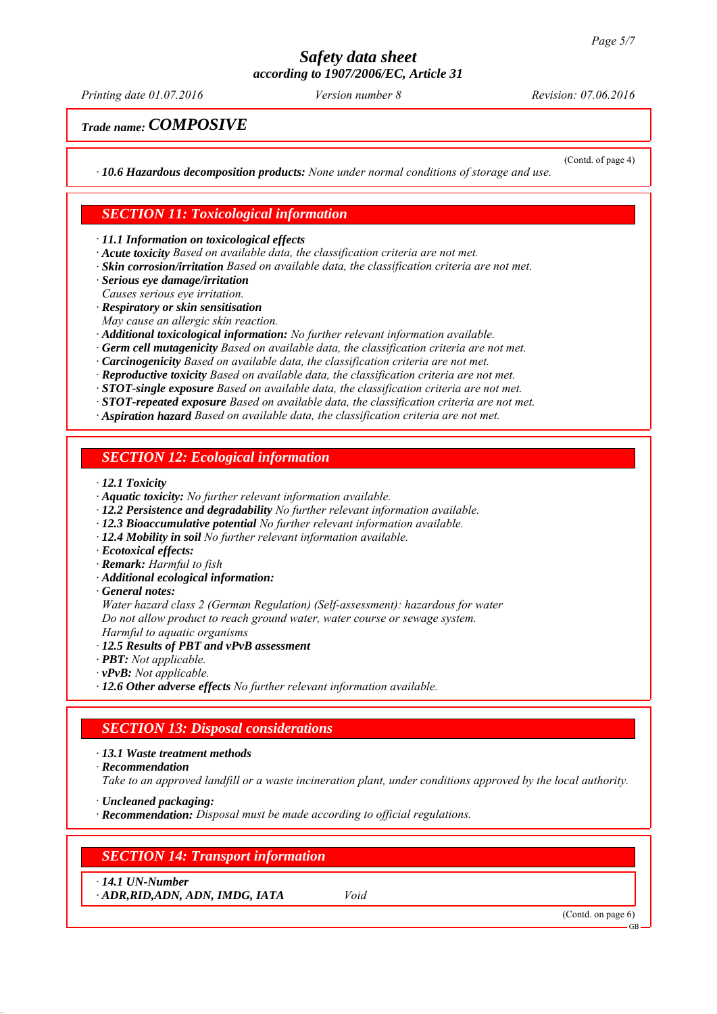*Printing date 01.07.2016 Revision: 07.06.2016 Version number 8*

(Contd. of page 4)

# *Trade name: COMPOSIVE*

*∙ 10.6 Hazardous decomposition products: None under normal conditions of storage and use.*

# *SECTION 11: Toxicological information*

*∙ 11.1 Information on toxicological effects*

- *∙ Acute toxicity Based on available data, the classification criteria are not met.*
- *∙ Skin corrosion/irritation Based on available data, the classification criteria are not met.*

*∙ Serious eye damage/irritation*

*Causes serious eye irritation.*

- *∙ Respiratory or skin sensitisation*
- *May cause an allergic skin reaction.*
- *∙ Additional toxicological information: No further relevant information available.*
- *∙ Germ cell mutagenicity Based on available data, the classification criteria are not met.*
- *∙ Carcinogenicity Based on available data, the classification criteria are not met.*
- *∙ Reproductive toxicity Based on available data, the classification criteria are not met.*
- *∙ STOT-single exposure Based on available data, the classification criteria are not met.*
- *∙ STOT-repeated exposure Based on available data, the classification criteria are not met.*
- *∙ Aspiration hazard Based on available data, the classification criteria are not met.*

#### *SECTION 12: Ecological information*

- *∙ 12.1 Toxicity*
- *∙ Aquatic toxicity: No further relevant information available.*
- *∙ 12.2 Persistence and degradability No further relevant information available.*
- *∙ 12.3 Bioaccumulative potential No further relevant information available.*
- *∙ 12.4 Mobility in soil No further relevant information available.*
- *∙ Ecotoxical effects:*
- *∙ Remark: Harmful to fish*
- *∙ Additional ecological information:*

#### *∙ General notes:*

*Water hazard class 2 (German Regulation) (Self-assessment): hazardous for water Do not allow product to reach ground water, water course or sewage system. Harmful to aquatic organisms*

- *∙ 12.5 Results of PBT and vPvB assessment*
- *∙ PBT: Not applicable.*
- *∙ vPvB: Not applicable.*
- *∙ 12.6 Other adverse effects No further relevant information available.*

#### *SECTION 13: Disposal considerations*

*∙ 13.1 Waste treatment methods*

*∙ Recommendation*

*Take to an approved landfill or a waste incineration plant, under conditions approved by the local authority.*

- *∙ Uncleaned packaging:*
- *∙ Recommendation: Disposal must be made according to official regulations.*

#### *SECTION 14: Transport information*

*∙ 14.1 UN-Number*

*∙ ADR,RID,ADN, ADN, IMDG, IATA Void*

(Contd. on page 6)

GB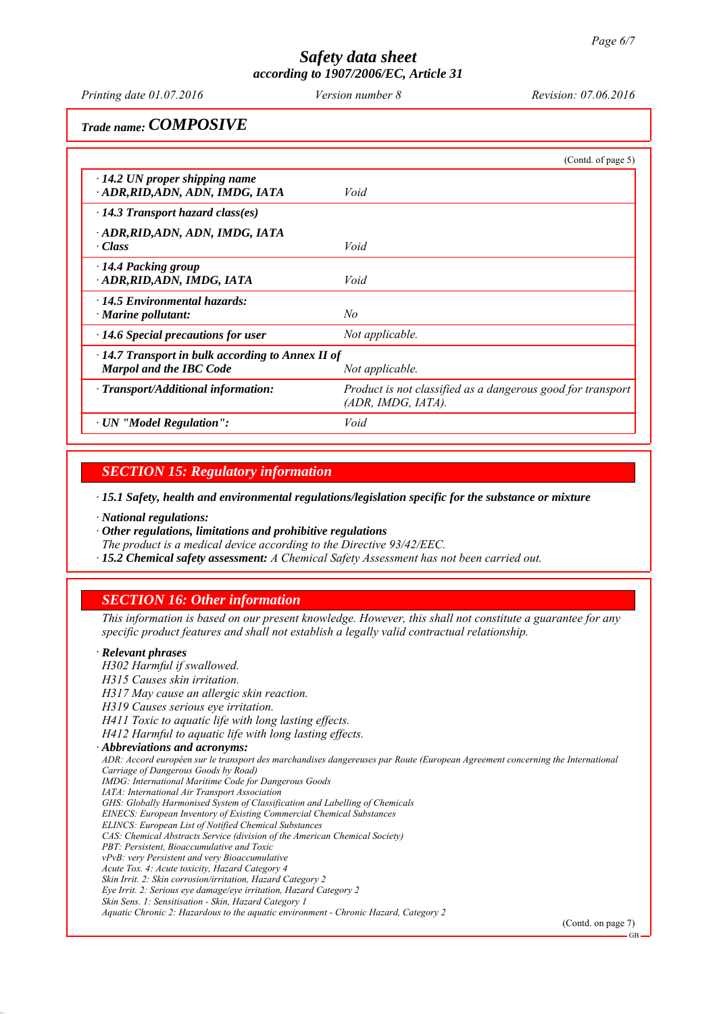*Printing date 01.07.2016 Revision: 07.06.2016 Version number 8*

*Trade name: COMPOSIVE*

|                                                                                           | (Contd. of page $5$ )                                                             |
|-------------------------------------------------------------------------------------------|-----------------------------------------------------------------------------------|
| $\cdot$ 14.2 UN proper shipping name<br>ADR, RID, ADN, ADN, IMDG, IATA                    | Void                                                                              |
| $\cdot$ 14.3 Transport hazard class(es)                                                   |                                                                                   |
| · ADR,RID,ADN, ADN, IMDG, IATA<br>· Class                                                 | Void                                                                              |
| $\cdot$ 14.4 Packing group<br>· ADR,RID,ADN, IMDG, IATA                                   | Void                                                                              |
| $\cdot$ 14.5 Environmental hazards:<br>$\cdot$ Marine pollutant:                          | No                                                                                |
| $\cdot$ 14.6 Special precautions for user                                                 | Not applicable.                                                                   |
| $\cdot$ 14.7 Transport in bulk according to Annex II of<br><b>Marpol and the IBC Code</b> | Not applicable.                                                                   |
| · Transport/Additional information:                                                       | Product is not classified as a dangerous good for transport<br>(ADR, IMDG, IATA). |
| $\cdot$ UN "Model Regulation":                                                            | Void                                                                              |

*SECTION 15: Regulatory information*

*∙ 15.1 Safety, health and environmental regulations/legislation specific for the substance or mixture*

*∙ National regulations:*

*∙ Other regulations, limitations and prohibitive regulations*

*The product is a medical device according to the Directive 93/42/EEC.*

*∙ 15.2 Chemical safety assessment: A Chemical Safety Assessment has not been carried out.*

# *SECTION 16: Other information*

*This information is based on our present knowledge. However, this shall not constitute a guarantee for any specific product features and shall not establish a legally valid contractual relationship.*

#### *∙ Relevant phrases*

*H302 Harmful if swallowed.*

*H315 Causes skin irritation.*

*H317 May cause an allergic skin reaction.*

*H319 Causes serious eye irritation.*

*H411 Toxic to aquatic life with long lasting effects.*

*H412 Harmful to aquatic life with long lasting effects.*

*∙ Abbreviations and acronyms:*

*ADR: Accord européen sur le transport des marchandises dangereuses par Route (European Agreement concerning the International Carriage of Dangerous Goods by Road)*

*IMDG: International Maritime Code for Dangerous Goods*

*IATA: International Air Transport Association*

*GHS: Globally Harmonised System of Classification and Labelling of Chemicals EINECS: European Inventory of Existing Commercial Chemical Substances*

*ELINCS: European List of Notified Chemical Substances*

*CAS: Chemical Abstracts Service (division of the American Chemical Society)*

*PBT: Persistent, Bioaccumulative and Toxic*

*vPvB: very Persistent and very Bioaccumulative*

*Acute Tox. 4: Acute toxicity, Hazard Category 4*

*Skin Irrit. 2: Skin corrosion/irritation, Hazard Category 2*

*Eye Irrit. 2: Serious eye damage/eye irritation, Hazard Category 2*

*Skin Sens. 1: Sensitisation - Skin, Hazard Category 1 Aquatic Chronic 2: Hazardous to the aquatic environment - Chronic Hazard, Category 2*

(Contd. on page 7)

GB